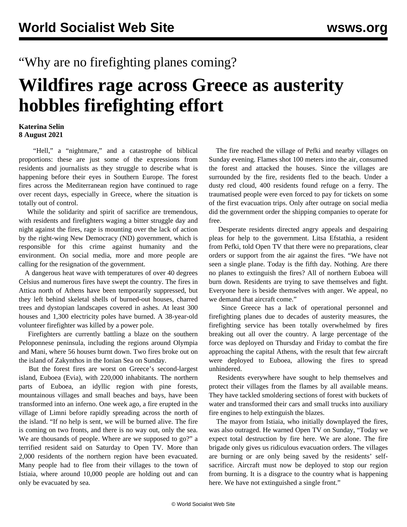## "Why are no firefighting planes coming?

## **Wildfires rage across Greece as austerity hobbles firefighting effort**

## **Katerina Selin 8 August 2021**

 "Hell," a "nightmare," and a catastrophe of biblical proportions: these are just some of the expressions from residents and journalists as they struggle to describe what is happening before their eyes in Southern Europe. The [forest](/en/articles/2021/08/06/fire-a06.html) [fires across the Mediterranean](/en/articles/2021/08/06/fire-a06.html) region have continued to rage over recent days, especially in Greece, where the situation is totally out of control.

 While the solidarity and spirit of sacrifice are tremendous, with residents and firefighters waging a bitter struggle day and night against the fires, rage is mounting over the lack of action by the right-wing New Democracy (ND) government, which is responsible for this crime against humanity and the environment. On social media, more and more people are calling for the resignation of the government.

 A dangerous heat wave with temperatures of over 40 degrees Celsius and numerous fires have swept the country. The fires in Attica north of Athens have been temporarily suppressed, but they left behind skeletal shells of burned-out houses, charred trees and dystopian landscapes covered in ashes. At least 300 houses and 1,300 electricity poles have burned. A 38-year-old volunteer firefighter was killed by a power pole.

 Firefighters are currently battling a blaze on the southern Peloponnese peninsula, including the regions around Olympia and Mani, where 56 houses burnt down. Two fires broke out on the island of Zakynthos in the Ionian Sea on Sunday.

 But the forest fires are worst on Greece's second-largest island, Euboea (Evia), with 220,000 inhabitants. The northern parts of Euboea, an idyllic region with pine forests, mountainous villages and small beaches and bays, have been transformed into an inferno. One week ago, a fire erupted in the village of Limni before rapidly spreading across the north of the island. "If no help is sent, we will be burned alive. The fire is coming on two fronts, and there is no way out, only the sea. We are thousands of people. Where are we supposed to go?" a terrified resident said on Saturday to Open TV. More than 2,000 residents of the northern region have been evacuated. Many people had to flee from their villages to the town of Istiaia, where around 10,000 people are holding out and can only be evacuated by sea.

 The fire reached the village of Pefki and nearby villages on Sunday evening. Flames shot 100 meters into the air, consumed the forest and attacked the houses. Since the villages are surrounded by the fire, residents fled to the beach. Under a dusty red cloud, 400 residents found refuge on a ferry. The traumatised people were even forced to pay for tickets on some of the first evacuation trips. Only after outrage on social media did the government order the shipping companies to operate for free.

 Desperate residents directed angry appeals and despairing pleas for help to the government. Litsa Efstathia, a resident from Pefki, told Open TV that there were no preparations, clear orders or support from the air against the fires. "We have not seen a single plane. Today is the fifth day. Nothing. Are there no planes to extinguish the fires? All of northern Euboea will burn down. Residents are trying to save themselves and fight. Everyone here is beside themselves with anger. We appeal, no we demand that aircraft come."

 Since Greece has a lack of operational personnel and firefighting planes due to decades of austerity measures, the firefighting service has been totally overwhelmed by fires breaking out all over the country. A large percentage of the force was deployed on Thursday and Friday to combat the fire approaching the capital Athens, with the result that few aircraft were deployed to Euboea, allowing the fires to spread unhindered.

 Residents everywhere have sought to help themselves and protect their villages from the flames by all available means. They have tackled smoldering sections of forest with buckets of water and transformed their cars and small trucks into auxiliary fire engines to help extinguish the blazes.

 The mayor from Istiaia, who initially downplayed the fires, was also outraged. He warned Open TV on Sunday, "Today we expect total destruction by fire here. We are alone. The fire brigade only gives us ridiculous evacuation orders. The villages are burning or are only being saved by the residents' selfsacrifice. Aircraft must now be deployed to stop our region from burning. It is a disgrace to the country what is happening here. We have not extinguished a single front."